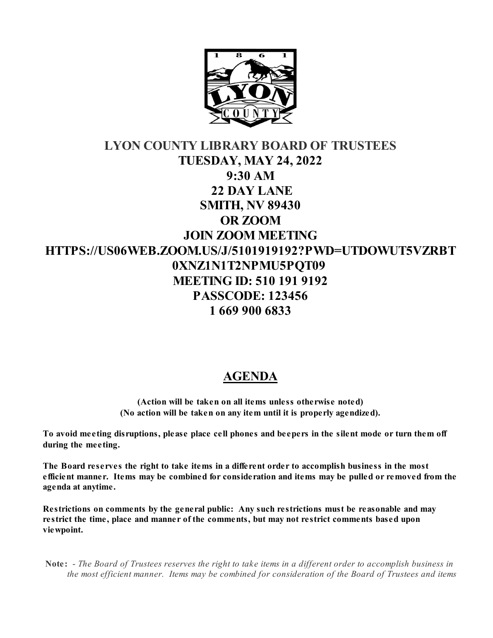

# **LYON COUNTY LIBRARY BOARD OF TRUSTEES TUESDAY, MAY 24, 2022 9:30 AM 22 DAY LANE SMITH, NV 89430 OR ZOOM JOIN ZOOM MEETING HTTPS://US06WEB.ZOOM.US/J/5101919192?PWD=UTDOWUT5VZRBT 0XNZ1N1T2NPMU5PQT09 MEETING ID: 510 191 9192 PASSCODE: 123456 1 669 900 6833**

# **AGENDA**

**(Action will be taken on all items unless otherwise noted) (No action will be taken on any item until it is properly agendized).**

**To avoid meeting disruptions, please place cell phones and beepers in the silent mode or turn them off during the meeting.**

**The Board reserves the right to take items in a different order to accomplish business in the most efficient manner. Items may be combined for consideration and items may be pulled or removed from the agenda at anytime.** 

**Restrictions on comments by the general public: Any such restrictions must be reasonable and may restrict the time, place and manner of the comments, but may not restrict comments based upon viewpoint.**

 **Note:** - *The Board of Trustees reserves the right to take items in a different order to accomplish business in the most efficient manner. Items may be combined for consideration of the Board of Trustees and items*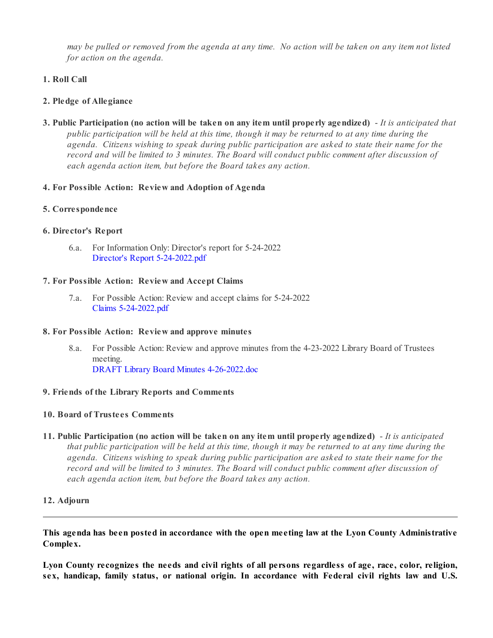*may be pulled or removed from the agenda at any time. No action will be taken on any item not listed for action on the agenda.*

# **1. Roll Call**

# **2. Pledge of Allegiance**

**3. Public Participation (no action will be taken on any item until properly agendized)** - *It is anticipated that public participation will be held at this time, though it may be returned to at any time during the agenda. Citizens wishing to speak during public participation are asked to state their name for the record and will be limited to 3 minutes. The Board will conduct public comment after discussion of each agenda action item, but before the Board takes any action.*

### **4. For Possible Action: Review and Adoption of Agenda**

### **5. Correspondence**

### **6. Director's Report**

6.a. For Information Only: Director's report for 5-24-2022 [Director's Report 5-24-2022.pdf](https://legistarweb-production.s3.amazonaws.com/uploads/attachment/pdf/1384086/Director_s_Report_5-24-2022.pdf)

#### **7. For Possible Action: Review and Accept Claims**

7.a. For Possible Action: Review and accept claims for 5-24-2022 [Claims 5-24-2022.pdf](https://legistarweb-production.s3.amazonaws.com/uploads/attachment/pdf/1384063/Claims_5-24-2022.pdf)

#### **8. For Possible Action: Review and approve minutes**

8.a. For Possible Action: Review and approve minutes from the 4-23-2022 Library Board of Trustees meeting. [DRAFT Library Board Minutes 4-26-2022.doc](https://legistarweb-production.s3.amazonaws.com/uploads/attachment/pdf/1384113/DRAFT_Library_Board_Minutes_4-26-2022.pdf)

#### **9. Friends of the Library Reports and Comments**

#### **10. Board of Trustees Comments**

**11. Public Participation (no action will be taken on any item until properly agendized)** - *It is anticipated that public participation will be held at this time, though it may be returned to at any time during the agenda. Citizens wishing to speak during public participation are asked to state their name for the record and will be limited to 3 minutes. The Board will conduct public comment after discussion of each agenda action item, but before the Board takes any action.*

# **12. Adjourn**

**This agenda has been posted in accordance with the open meeting law at the Lyon County Administrative Complex.**

**Lyon County recognizes the needs and civil rights of all persons regardless of age, race, color, religion, sex, handicap, family status, or national origin. In accordance with Federal civil rights law and U.S.**